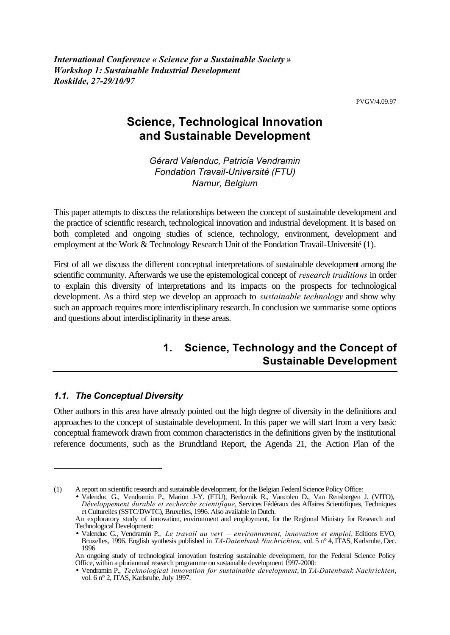PVGV/4.09.97

# **Science, Technological Innovation and Sustainable Development**

*Gérard Valenduc, Patricia Vendramin Fondation Travail-Université (FTU) Namur, Belgium*

This paper attempts to discuss the relationships between the concept of sustainable development and the practice of scientific research, technological innovation and industrial development. It is based on both completed and ongoing studies of science, technology, environment, development and employment at the Work & Technology Research Unit of the Fondation Travail-Université (1).

First of all we discuss the different conceptual interpretations of sustainable development among the scientific community. Afterwards we use the epistemological concept of *research traditions* in order to explain this diversity of interpretations and its impacts on the prospects for technological development. As a third step we develop an approach to *sustainable technology* and show why such an approach requires more interdisciplinary research. In conclusion we summarise some options and questions about interdisciplinarity in these areas.

## **1. Science, Technology and the Concept of Sustainable Development**

#### *1.1. The Conceptual Diversity*

l

Other authors in this area have already pointed out the high degree of diversity in the definitions and approaches to the concept of sustainable development. In this paper we will start from a very basic conceptual framework drawn from common characteristics in the definitions given by the institutional reference documents, such as the Brundtland Report, the Agenda 21, the Action Plan of the

<sup>(1)</sup> A report on scientific research and sustainable development, for the Belgian Federal Science Policy Office:

<sup>•</sup> Valenduc G., Vendramin P., Marion J-Y. (FTU), Berloznik R., Vancolen D., Van Rensbergen J. (VITO), *Développement durable et recherche scientifique*, Services Fédéraux des Affaires Scientifiques, Techniques et Culturelles (SSTC/DWTC), Bruxelles, 1996. Also available in Dutch.

An exploratory study of innovation, environment and employment, for the Regional Ministry for Research and Technological Development:

<sup>•</sup> Valenduc G., Vendramin P., *Le travail au vert – environnement, innovation et emploi*, Editions EVO, Bruxelles, 1996. English synthesis published in *TA-Datenbank Nachrichten*, vol. 5 n° 4, ITAS, Karlsruhe, Dec. 1996

An ongoing study of technological innovation fostering sustainable development, for the Federal Science Policy Office, within a pluriannual research programme on sustainable development 1997-2000:

<sup>•</sup> Vendramin P., *Technological innovation for sustainable development*, in *TA-Datenbank Nachrichten*, vol. 6 n° 2, ITAS, Karlsruhe, July 1997.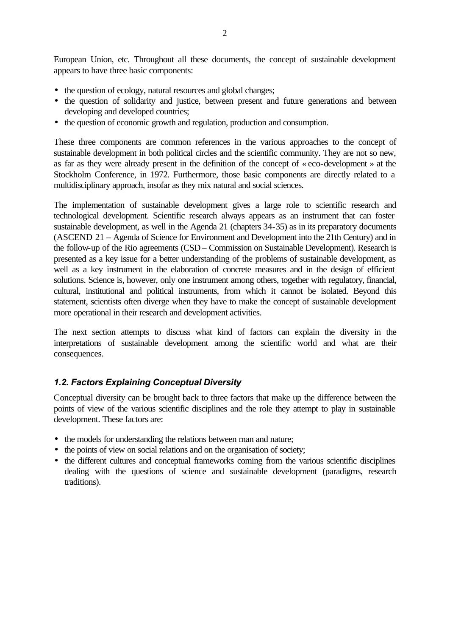European Union, etc. Throughout all these documents, the concept of sustainable development appears to have three basic components:

- the question of ecology, natural resources and global changes;
- the question of solidarity and justice, between present and future generations and between developing and developed countries;
- the question of economic growth and regulation, production and consumption.

These three components are common references in the various approaches to the concept of sustainable development in both political circles and the scientific community. They are not so new, as far as they were already present in the definition of the concept of « eco-development » at the Stockholm Conference, in 1972. Furthermore, those basic components are directly related to a multidisciplinary approach, insofar as they mix natural and social sciences.

The implementation of sustainable development gives a large role to scientific research and technological development. Scientific research always appears as an instrument that can foster sustainable development, as well in the Agenda 21 (chapters 34-35) as in its preparatory documents (ASCEND 21 – Agenda of Science for Environment and Development into the 21th Century) and in the follow-up of the Rio agreements (CSD – Commission on Sustainable Development). Research is presented as a key issue for a better understanding of the problems of sustainable development, as well as a key instrument in the elaboration of concrete measures and in the design of efficient solutions. Science is, however, only one instrument among others, together with regulatory, financial, cultural, institutional and political instruments, from which it cannot be isolated. Beyond this statement, scientists often diverge when they have to make the concept of sustainable development more operational in their research and development activities.

The next section attempts to discuss what kind of factors can explain the diversity in the interpretations of sustainable development among the scientific world and what are their consequences.

## *1.2. Factors Explaining Conceptual Diversity*

Conceptual diversity can be brought back to three factors that make up the difference between the points of view of the various scientific disciplines and the role they attempt to play in sustainable development. These factors are:

- the models for understanding the relations between man and nature;
- the points of view on social relations and on the organisation of society;
- the different cultures and conceptual frameworks coming from the various scientific disciplines dealing with the questions of science and sustainable development (paradigms, research traditions).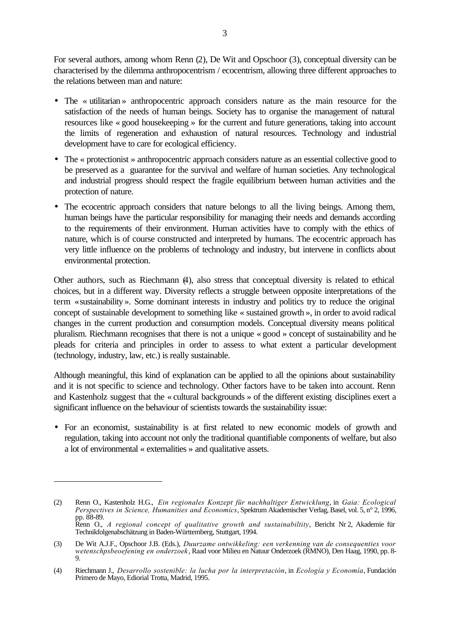For several authors, among whom Renn (2), De Wit and Opschoor (3), conceptual diversity can be characterised by the dilemma anthropocentrism / ecocentrism, allowing three different approaches to the relations between man and nature:

- The « utilitarian » anthropocentric approach considers nature as the main resource for the satisfaction of the needs of human beings. Society has to organise the management of natural resources like « good housekeeping » for the current and future generations, taking into account the limits of regeneration and exhaustion of natural resources. Technology and industrial development have to care for ecological efficiency.
- The « protectionist » anthropocentric approach considers nature as an essential collective good to be preserved as a guarantee for the survival and welfare of human societies. Any technological and industrial progress should respect the fragile equilibrium between human activities and the protection of nature.
- The ecocentric approach considers that nature belongs to all the living beings. Among them, human beings have the particular responsibility for managing their needs and demands according to the requirements of their environment. Human activities have to comply with the ethics of nature, which is of course constructed and interpreted by humans. The ecocentric approach has very little influence on the problems of technology and industry, but intervene in conflicts about environmental protection.

Other authors, such as Riechmann (4), also stress that conceptual diversity is related to ethical choices, but in a different way. Diversity reflects a struggle between opposite interpretations of the term «sustainability ». Some dominant interests in industry and politics try to reduce the original concept of sustainable development to something like « sustained growth », in order to avoid radical changes in the current production and consumption models. Conceptual diversity means political pluralism. Riechmann recognises that there is not a unique « good » concept of sustainability and he pleads for criteria and principles in order to assess to what extent a particular development (technology, industry, law, etc.) is really sustainable.

Although meaningful, this kind of explanation can be applied to all the opinions about sustainability and it is not specific to science and technology. Other factors have to be taken into account. Renn and Kastenholz suggest that the « cultural backgrounds » of the different existing disciplines exert a significant influence on the behaviour of scientists towards the sustainability issue:

• For an economist, sustainability is at first related to new economic models of growth and regulation, taking into account not only the traditional quantifiable components of welfare, but also a lot of environmental « externalities » and qualitative assets.

l

<sup>(2)</sup> Renn O., Kastenholz H.G., *Ein regionales Konzept für nachhaltiger Entwicklung*, in *Gaia: Ecological Perspectives in Science, Humanities and Economics*, Spektrum Akademischer Verlag, Basel, vol. 5, n° 2, 1996, pp. 88-89. Renn O., *A regional concept of qualitative growth and sustainabiltity*, Bericht Nr 2, Akademie für Technikfolgenabschätzung in Baden-Württemberg, Stuttgart, 1994.

<sup>(3)</sup> De Wit A.J.F., Opschoor J.B. (Eds.), *Duurzame ontwikkeling: een verkenning van de consequenties voor wetenschpsbeoefening en onderzoek*, Raad voor Milieu en Natuur Onderzoek (RMNO), Den Haag, 1990, pp. 8- 9.

<sup>(4)</sup> Riechmann J., *Desarrollo sostenible: la lucha por la interpretación*, in *Ecología y Economía*, Fundación Primero de Mayo, Ediorial Trotta, Madrid, 1995.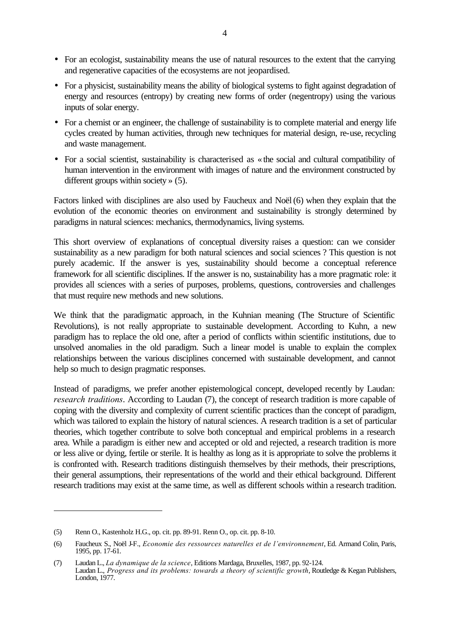- For an ecologist, sustainability means the use of natural resources to the extent that the carrying and regenerative capacities of the ecosystems are not jeopardised.
- For a physicist, sustainability means the ability of biological systems to fight against degradation of energy and resources (entropy) by creating new forms of order (negentropy) using the various inputs of solar energy.
- For a chemist or an engineer, the challenge of sustainability is to complete material and energy life cycles created by human activities, through new techniques for material design, re-use, recycling and waste management.
- For a social scientist, sustainability is characterised as «the social and cultural compatibility of human intervention in the environment with images of nature and the environment constructed by different groups within society » (5).

Factors linked with disciplines are also used by Faucheux and Noël (6) when they explain that the evolution of the economic theories on environment and sustainability is strongly determined by paradigms in natural sciences: mechanics, thermodynamics, living systems.

This short overview of explanations of conceptual diversity raises a question: can we consider sustainability as a new paradigm for both natural sciences and social sciences ? This question is not purely academic. If the answer is yes, sustainability should become a conceptual reference framework for all scientific disciplines. If the answer is no, sustainability has a more pragmatic role: it provides all sciences with a series of purposes, problems, questions, controversies and challenges that must require new methods and new solutions.

We think that the paradigmatic approach, in the Kuhnian meaning (The Structure of Scientific Revolutions), is not really appropriate to sustainable development. According to Kuhn, a new paradigm has to replace the old one, after a period of conflicts within scientific institutions, due to unsolved anomalies in the old paradigm. Such a linear model is unable to explain the complex relationships between the various disciplines concerned with sustainable development, and cannot help so much to design pragmatic responses.

Instead of paradigms, we prefer another epistemological concept, developed recently by Laudan: *research traditions*. According to Laudan (7), the concept of research tradition is more capable of coping with the diversity and complexity of current scientific practices than the concept of paradigm, which was tailored to explain the history of natural sciences. A research tradition is a set of particular theories, which together contribute to solve both conceptual and empirical problems in a research area. While a paradigm is either new and accepted or old and rejected, a research tradition is more or less alive or dying, fertile or sterile. It is healthy as long as it is appropriate to solve the problems it is confronted with. Research traditions distinguish themselves by their methods, their prescriptions, their general assumptions, their representations of the world and their ethical background. Different research traditions may exist at the same time, as well as different schools within a research tradition.

l

<sup>(5)</sup> Renn O., Kastenholz H.G., op. cit. pp. 89-91. Renn O., op. cit. pp. 8-10.

<sup>(6)</sup> Faucheux S., Noël J-F., *Economie des ressources naturelles et de l'environnement*, Ed. Armand Colin, Paris, 1995, pp. 17-61.

<sup>(7)</sup> Laudan L., *La dynamique de la science*, Editions Mardaga, Bruxelles, 1987, pp. 92-124. Laudan L., *Progress and its problems: towards a theory of scientific growth*, Routledge & Kegan Publishers, London, 1977.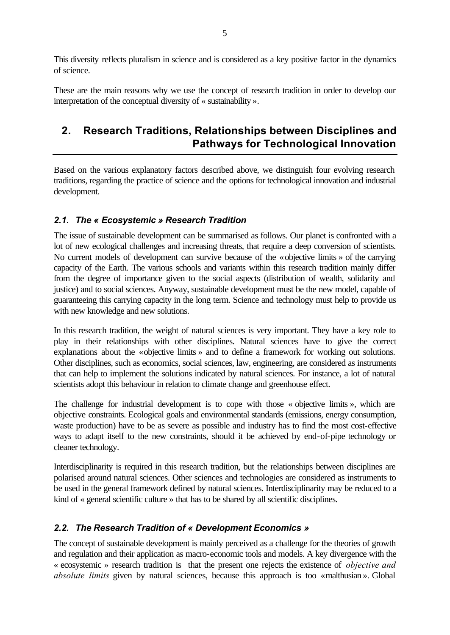This diversity reflects pluralism in science and is considered as a key positive factor in the dynamics of science.

These are the main reasons why we use the concept of research tradition in order to develop our interpretation of the conceptual diversity of « sustainability ».

## **2. Research Traditions, Relationships between Disciplines and Pathways for Technological Innovation**

Based on the various explanatory factors described above, we distinguish four evolving research traditions, regarding the practice of science and the options for technological innovation and industrial development.

## *2.1. The « Ecosystemic » Research Tradition*

The issue of sustainable development can be summarised as follows. Our planet is confronted with a lot of new ecological challenges and increasing threats, that require a deep conversion of scientists. No current models of development can survive because of the «objective limits » of the carrying capacity of the Earth. The various schools and variants within this research tradition mainly differ from the degree of importance given to the social aspects (distribution of wealth, solidarity and justice) and to social sciences. Anyway, sustainable development must be the new model, capable of guaranteeing this carrying capacity in the long term. Science and technology must help to provide us with new knowledge and new solutions.

In this research tradition, the weight of natural sciences is very important. They have a key role to play in their relationships with other disciplines. Natural sciences have to give the correct explanations about the «objective limits » and to define a framework for working out solutions. Other disciplines, such as economics, social sciences, law, engineering, are considered as instruments that can help to implement the solutions indicated by natural sciences. For instance, a lot of natural scientists adopt this behaviour in relation to climate change and greenhouse effect.

The challenge for industrial development is to cope with those « objective limits », which are objective constraints. Ecological goals and environmental standards (emissions, energy consumption, waste production) have to be as severe as possible and industry has to find the most cost-effective ways to adapt itself to the new constraints, should it be achieved by end-of-pipe technology or cleaner technology.

Interdisciplinarity is required in this research tradition, but the relationships between disciplines are polarised around natural sciences. Other sciences and technologies are considered as instruments to be used in the general framework defined by natural sciences. Interdisciplinarity may be reduced to a kind of « general scientific culture » that has to be shared by all scientific disciplines.

## *2.2. The Research Tradition of « Development Economics »*

The concept of sustainable development is mainly perceived as a challenge for the theories of growth and regulation and their application as macro-economic tools and models. A key divergence with the « ecosystemic » research tradition is that the present one rejects the existence of *objective and absolute limits* given by natural sciences, because this approach is too «malthusian ». Global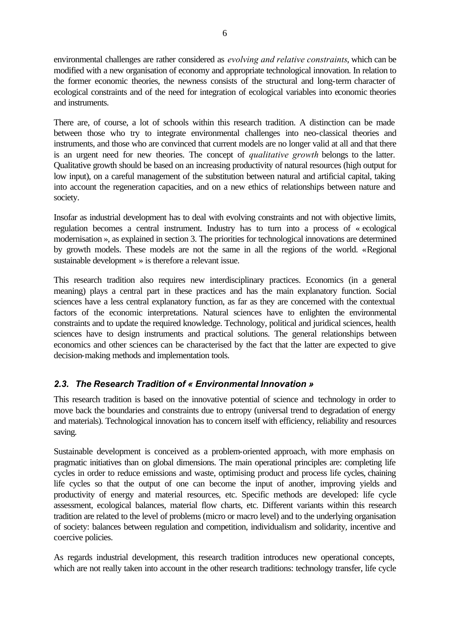environmental challenges are rather considered as *evolving and relative constraints*, which can be modified with a new organisation of economy and appropriate technological innovation. In relation to the former economic theories, the newness consists of the structural and long-term character of ecological constraints and of the need for integration of ecological variables into economic theories and instruments.

There are, of course, a lot of schools within this research tradition. A distinction can be made between those who try to integrate environmental challenges into neo-classical theories and instruments, and those who are convinced that current models are no longer valid at all and that there is an urgent need for new theories. The concept of *qualitative growth* belongs to the latter. Qualitative growth should be based on an increasing productivity of natural resources (high output for low input), on a careful management of the substitution between natural and artificial capital, taking into account the regeneration capacities, and on a new ethics of relationships between nature and society.

Insofar as industrial development has to deal with evolving constraints and not with objective limits, regulation becomes a central instrument. Industry has to turn into a process of « ecological modernisation », as explained in section 3. The priorities for technological innovations are determined by growth models. These models are not the same in all the regions of the world. «Regional sustainable development » is therefore a relevant issue.

This research tradition also requires new interdisciplinary practices. Economics (in a general meaning) plays a central part in these practices and has the main explanatory function. Social sciences have a less central explanatory function, as far as they are concerned with the contextual factors of the economic interpretations. Natural sciences have to enlighten the environmental constraints and to update the required knowledge. Technology, political and juridical sciences, health sciences have to design instruments and practical solutions. The general relationships between economics and other sciences can be characterised by the fact that the latter are expected to give decision-making methods and implementation tools.

## *2.3. The Research Tradition of « Environmental Innovation »*

This research tradition is based on the innovative potential of science and technology in order to move back the boundaries and constraints due to entropy (universal trend to degradation of energy and materials). Technological innovation has to concern itself with efficiency, reliability and resources saving.

Sustainable development is conceived as a problem-oriented approach, with more emphasis on pragmatic initiatives than on global dimensions. The main operational principles are: completing life cycles in order to reduce emissions and waste, optimising product and process life cycles, chaining life cycles so that the output of one can become the input of another, improving yields and productivity of energy and material resources, etc. Specific methods are developed: life cycle assessment, ecological balances, material flow charts, etc. Different variants within this research tradition are related to the level of problems (micro or macro level) and to the underlying organisation of society: balances between regulation and competition, individualism and solidarity, incentive and coercive policies.

As regards industrial development, this research tradition introduces new operational concepts, which are not really taken into account in the other research traditions: technology transfer, life cycle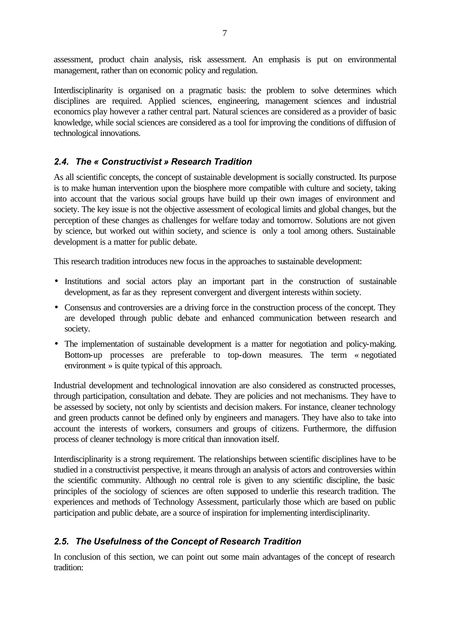assessment, product chain analysis, risk assessment. An emphasis is put on environmental management, rather than on economic policy and regulation.

Interdisciplinarity is organised on a pragmatic basis: the problem to solve determines which disciplines are required. Applied sciences, engineering, management sciences and industrial economics play however a rather central part. Natural sciences are considered as a provider of basic knowledge, while social sciences are considered as a tool for improving the conditions of diffusion of technological innovations.

## *2.4. The « Constructivist » Research Tradition*

As all scientific concepts, the concept of sustainable development is socially constructed. Its purpose is to make human intervention upon the biosphere more compatible with culture and society, taking into account that the various social groups have build up their own images of environment and society. The key issue is not the objective assessment of ecological limits and global changes, but the perception of these changes as challenges for welfare today and tomorrow. Solutions are not given by science, but worked out within society, and science is only a tool among others. Sustainable development is a matter for public debate.

This research tradition introduces new focus in the approaches to sustainable development:

- Institutions and social actors play an important part in the construction of sustainable development, as far as they represent convergent and divergent interests within society.
- Consensus and controversies are a driving force in the construction process of the concept. They are developed through public debate and enhanced communication between research and society.
- The implementation of sustainable development is a matter for negotiation and policy-making. Bottom-up processes are preferable to top-down measures. The term « negotiated environment » is quite typical of this approach.

Industrial development and technological innovation are also considered as constructed processes, through participation, consultation and debate. They are policies and not mechanisms. They have to be assessed by society, not only by scientists and decision makers. For instance, cleaner technology and green products cannot be defined only by engineers and managers. They have also to take into account the interests of workers, consumers and groups of citizens. Furthermore, the diffusion process of cleaner technology is more critical than innovation itself.

Interdisciplinarity is a strong requirement. The relationships between scientific disciplines have to be studied in a constructivist perspective, it means through an analysis of actors and controversies within the scientific community. Although no central role is given to any scientific discipline, the basic principles of the sociology of sciences are often supposed to underlie this research tradition. The experiences and methods of Technology Assessment, particularly those which are based on public participation and public debate, are a source of inspiration for implementing interdisciplinarity.

## *2.5. The Usefulness of the Concept of Research Tradition*

In conclusion of this section, we can point out some main advantages of the concept of research tradition: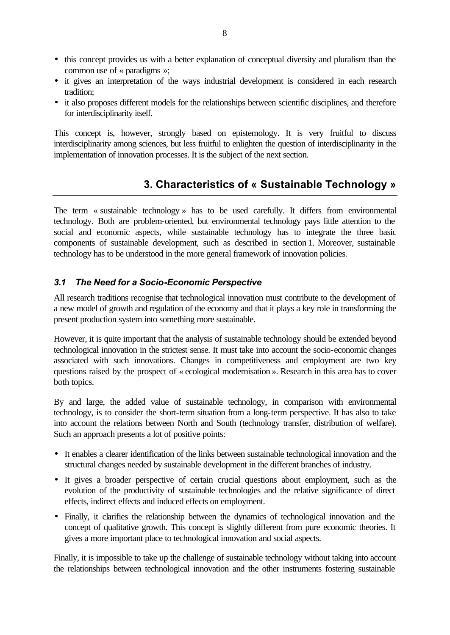- this concept provides us with a better explanation of conceptual diversity and pluralism than the common use of « paradigms »;
- it gives an interpretation of the ways industrial development is considered in each research tradition;
- it also proposes different models for the relationships between scientific disciplines, and therefore for interdisciplinarity itself.

This concept is, however, strongly based on epistemology. It is very fruitful to discuss interdisciplinarity among sciences, but less fruitful to enlighten the question of interdisciplinarity in the implementation of innovation processes. It is the subject of the next section.

# **3. Characteristics of « Sustainable Technology »**

The term « sustainable technology » has to be used carefully. It differs from environmental technology. Both are problem-oriented, but environmental technology pays little attention to the social and economic aspects, while sustainable technology has to integrate the three basic components of sustainable development, such as described in section 1. Moreover, sustainable technology has to be understood in the more general framework of innovation policies.

## *3.1 The Need for a Socio-Economic Perspective*

All research traditions recognise that technological innovation must contribute to the development of a new model of growth and regulation of the economy and that it plays a key role in transforming the present production system into something more sustainable.

However, it is quite important that the analysis of sustainable technology should be extended beyond technological innovation in the strictest sense. It must take into account the socio-economic changes associated with such innovations. Changes in competitiveness and employment are two key questions raised by the prospect of « ecological modernisation ». Research in this area has to cover both topics.

By and large, the added value of sustainable technology, in comparison with environmental technology, is to consider the short-term situation from a long-term perspective. It has also to take into account the relations between North and South (technology transfer, distribution of welfare). Such an approach presents a lot of positive points:

- It enables a clearer identification of the links between sustainable technological innovation and the structural changes needed by sustainable development in the different branches of industry.
- It gives a broader perspective of certain crucial questions about employment, such as the evolution of the productivity of sustainable technologies and the relative significance of direct effects, indirect effects and induced effects on employment.
- Finally, it clarifies the relationship between the dynamics of technological innovation and the concept of qualitative growth. This concept is slightly different from pure economic theories. It gives a more important place to technological innovation and social aspects.

Finally, it is impossible to take up the challenge of sustainable technology without taking into account the relationships between technological innovation and the other instruments fostering sustainable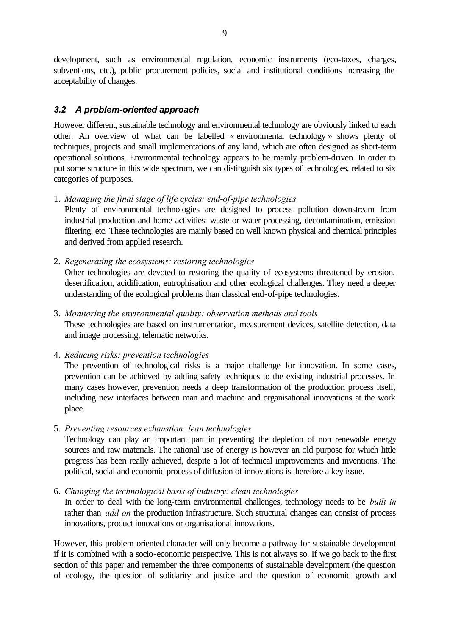development, such as environmental regulation, economic instruments (eco-taxes, charges, subventions, etc.), public procurement policies, social and institutional conditions increasing the acceptability of changes.

## *3.2 A problem-oriented approach*

However different, sustainable technology and environmental technology are obviously linked to each other. An overview of what can be labelled « environmental technology » shows plenty of techniques, projects and small implementations of any kind, which are often designed as short-term operational solutions. Environmental technology appears to be mainly problem-driven. In order to put some structure in this wide spectrum, we can distinguish six types of technologies, related to six categories of purposes.

#### 1. *Managing the final stage of life cycles: end-of-pipe technologies*

Plenty of environmental technologies are designed to process pollution downstream from industrial production and home activities: waste or water processing, decontamination, emission filtering, etc. These technologies are mainly based on well known physical and chemical principles and derived from applied research.

2. *Regenerating the ecosystems: restoring technologies* Other technologies are devoted to restoring the quality of ecosystems threatened by erosion, desertification, acidification, eutrophisation and other ecological challenges. They need a deeper understanding of the ecological problems than classical end-of-pipe technologies.

3. *Monitoring the environmental quality: observation methods and tools* These technologies are based on instrumentation, measurement devices, satellite detection, data and image processing, telematic networks.

4. *Reducing risks: prevention technologies*

The prevention of technological risks is a major challenge for innovation. In some cases, prevention can be achieved by adding safety techniques to the existing industrial processes. In many cases however, prevention needs a deep transformation of the production process itself, including new interfaces between man and machine and organisational innovations at the work place.

5. *Preventing resources exhaustion: lean technologies*

Technology can play an important part in preventing the depletion of non renewable energy sources and raw materials. The rational use of energy is however an old purpose for which little progress has been really achieved, despite a lot of technical improvements and inventions. The political, social and economic process of diffusion of innovations is therefore a key issue.

6. *Changing the technological basis of industry: clean technologies*

In order to deal with the long-term environmental challenges, technology needs to be *built in* rather than *add on* the production infrastructure. Such structural changes can consist of process innovations, product innovations or organisational innovations.

However, this problem-oriented character will only become a pathway for sustainable development if it is combined with a socio-economic perspective. This is not always so. If we go back to the first section of this paper and remember the three components of sustainable development (the question of ecology, the question of solidarity and justice and the question of economic growth and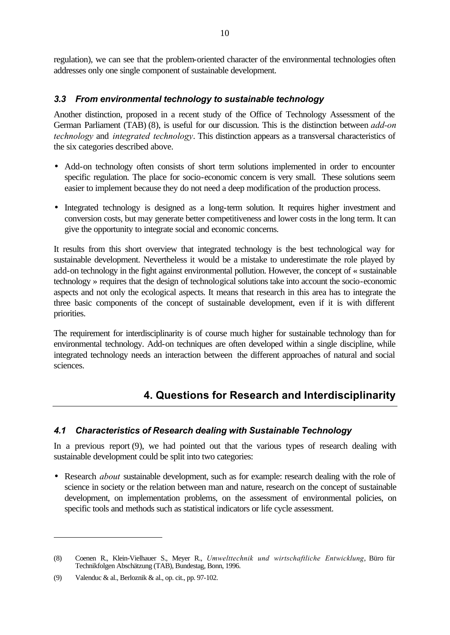regulation), we can see that the problem-oriented character of the environmental technologies often addresses only one single component of sustainable development.

#### *3.3 From environmental technology to sustainable technology*

Another distinction, proposed in a recent study of the Office of Technology Assessment of the German Parliament (TAB) (8), is useful for our discussion. This is the distinction between *add-on technology* and *integrated technology*. This distinction appears as a transversal characteristics of the six categories described above.

- Add-on technology often consists of short term solutions implemented in order to encounter specific regulation. The place for socio-economic concern is very small. These solutions seem easier to implement because they do not need a deep modification of the production process.
- Integrated technology is designed as a long-term solution. It requires higher investment and conversion costs, but may generate better competitiveness and lower costs in the long term. It can give the opportunity to integrate social and economic concerns.

It results from this short overview that integrated technology is the best technological way for sustainable development. Nevertheless it would be a mistake to underestimate the role played by add-on technology in the fight against environmental pollution. However, the concept of « sustainable technology » requires that the design of technological solutions take into account the socio-economic aspects and not only the ecological aspects. It means that research in this area has to integrate the three basic components of the concept of sustainable development, even if it is with different priorities.

The requirement for interdisciplinarity is of course much higher for sustainable technology than for environmental technology. Add-on techniques are often developed within a single discipline, while integrated technology needs an interaction between the different approaches of natural and social sciences.

## **4. Questions for Research and Interdisciplinarity**

#### *4.1 Characteristics of Research dealing with Sustainable Technology*

In a previous report (9), we had pointed out that the various types of research dealing with sustainable development could be split into two categories:

• Research *about* sustainable development, such as for example: research dealing with the role of science in society or the relation between man and nature, research on the concept of sustainable development, on implementation problems, on the assessment of environmental policies, on specific tools and methods such as statistical indicators or life cycle assessment.

l

<sup>(8)</sup> Coenen R., Klein-Vielhauer S., Meyer R., *Umwelttechnik und wirtschaftliche Entwicklung*, Büro für Technikfolgen Abschätzung (TAB), Bundestag, Bonn, 1996.

<sup>(9)</sup> Valenduc & al., Berloznik & al., op. cit., pp. 97-102.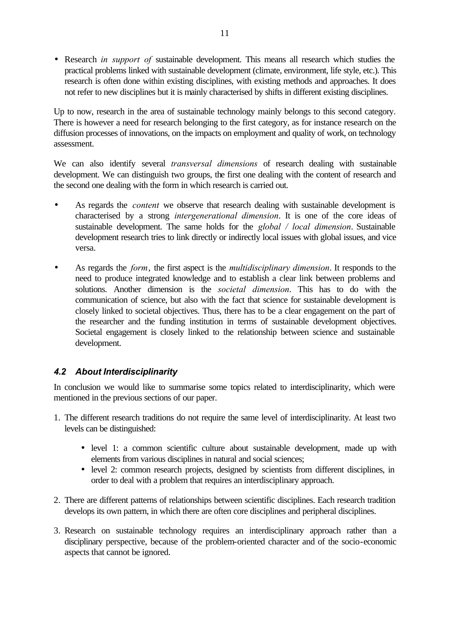• Research *in support of* sustainable development. This means all research which studies the practical problems linked with sustainable development (climate, environment, life style, etc.). This research is often done within existing disciplines, with existing methods and approaches. It does not refer to new disciplines but it is mainly characterised by shifts in different existing disciplines.

Up to now, research in the area of sustainable technology mainly belongs to this second category. There is however a need for research belonging to the first category, as for instance research on the diffusion processes of innovations, on the impacts on employment and quality of work, on technology assessment.

We can also identify several *transversal dimensions* of research dealing with sustainable development. We can distinguish two groups, the first one dealing with the content of research and the second one dealing with the form in which research is carried out.

- As regards the *content* we observe that research dealing with sustainable development is characterised by a strong *intergenerational dimension*. It is one of the core ideas of sustainable development. The same holds for the *global / local dimension*. Sustainable development research tries to link directly or indirectly local issues with global issues, and vice versa.
- As regards the *form*, the first aspect is the *multidisciplinary dimension*. It responds to the need to produce integrated knowledge and to establish a clear link between problems and solutions. Another dimension is the *societal dimension*. This has to do with the communication of science, but also with the fact that science for sustainable development is closely linked to societal objectives. Thus, there has to be a clear engagement on the part of the researcher and the funding institution in terms of sustainable development objectives. Societal engagement is closely linked to the relationship between science and sustainable development.

## *4.2 About Interdisciplinarity*

In conclusion we would like to summarise some topics related to interdisciplinarity, which were mentioned in the previous sections of our paper.

- 1. The different research traditions do not require the same level of interdisciplinarity. At least two levels can be distinguished:
	- level 1: a common scientific culture about sustainable development, made up with elements from various disciplines in natural and social sciences;
	- level 2: common research projects, designed by scientists from different disciplines, in order to deal with a problem that requires an interdisciplinary approach.
- 2. There are different patterns of relationships between scientific disciplines. Each research tradition develops its own pattern, in which there are often core disciplines and peripheral disciplines.
- 3. Research on sustainable technology requires an interdisciplinary approach rather than a disciplinary perspective, because of the problem-oriented character and of the socio-economic aspects that cannot be ignored.